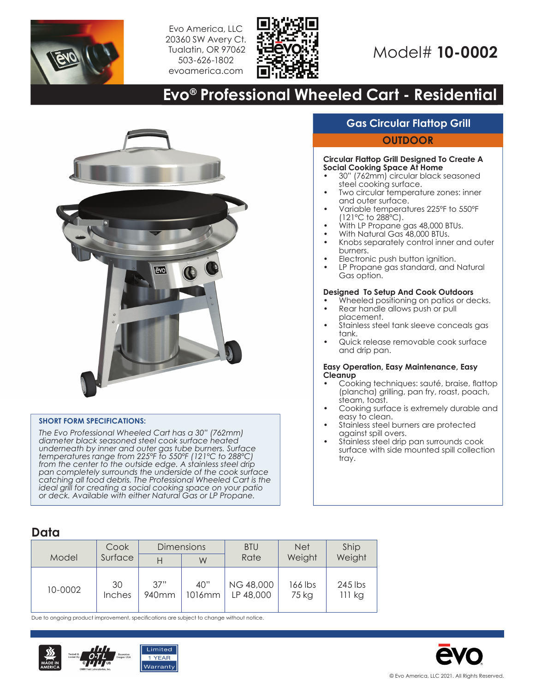

Evo America, LLC 20360 SW Avery Ct. Tualatin, OR 97062 503-626-1802 evoamerica.com



# Model# **10-0002**

# **Evo® Professional Wheeled Cart - Residential**



#### **SHORT FORM SPECIFICATIONS:**

*The Evo Professional Wheeled Cart has a 30" (762mm) diameter black seasoned steel cook surface heated underneath by inner and outer gas tube burners. Surface temperatures range from 225ºF to 550ºF (121ºC to 288ºC) from the center to the outside edge. A stainless steel drip pan completely surrounds the underside of the cook surface catching all food debris. The Professional Wheeled Cart is the ideal grill for creating a social cooking space on your patio or deck. Available with either Natural Gas or LP Propane.*

## **Gas Circular Flattop Grill**

#### **OUTDOOR**

#### **Circular Flattop Grill Designed To Create A Social Cooking Space At Home**

- 30" (762mm) circular black seasoned steel cooking surface.
- Two circular temperature zones: inner and outer surface.
- Variable temperatures 225ºF to 550ºF (121ºC to 288ºC).
- With LP Propane gas 48,000 BTUs.
- With Natural Gas 48,000 BTUs.
- Knobs separately control inner and outer burners.
- Electronic push button ignition.
- LP Propane gas standard, and Natural Gas option.

#### **Designed To Setup And Cook Outdoors**

- Wheeled positioning on patios or decks. • Rear handle allows push or pull
- placement. • Stainless steel tank sleeve conceals gas
- tank. • Quick release removable cook surface and drip pan.

#### **Easy Operation, Easy Maintenance, Easy Cleanup**

- Cooking techniques: sauté, braise, flattop (plancha) grilling, pan fry, roast, poach, steam, toast.
- Cooking surface is extremely durable and easy to clean.
- Stainless steel burners are protected against spill overs.
- Stainless steel drip pan surrounds cook surface with side mounted spill collection tray.

### **Data**

| Model   | Cook<br>Surface | <b>Dimensions</b>        |               | <b>BTU</b>                    | <b>Net</b>       | Ship                |  |
|---------|-----------------|--------------------------|---------------|-------------------------------|------------------|---------------------|--|
|         |                 |                          | W             | Rate                          | Weight           | Weight              |  |
| 10-0002 | 30<br>Inches    | 37"<br>940 <sub>mm</sub> | 40"<br>1016mm | <b>NG 48,000</b><br>LP 48,000 | 166 lbs<br>75 kg | $245$ lbs<br>111 kg |  |

Due to ongoing product improvement, specifications are subject to change without notice.